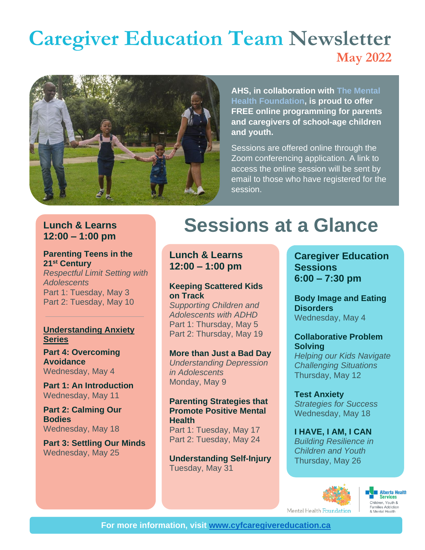# **May 2022 Caregiver Education Team Newsletter**



**AHS, in collaboration with [The Mental](https://mentalhealthfoundation.ca/)  [Health Foundation,](https://mentalhealthfoundation.ca/) is proud to offer FREE online programming for parents and caregivers of school-age children and youth.**

Sessions are offered online through the Zoom conferencing application. A link to access the online session will be sent by email to those who have registered for the session.

## **Lunch & Learns 12:00 – 1:00 pm**

#### **Parenting Teens in the 21st Century**

*Respectful Limit Setting with Adolescents* Part 1: Tuesday, May 3 Part 2: Tuesday, May 10

#### **Understanding Anxiety Series**

**Part 4: Overcoming Avoidance**  Wednesday, May 4

**Part 1: An Introduction**  Wednesday, May 11

**Part 2: Calming Our Bodies**  Wednesday, May 18

**Part 3: Settling Our Minds** Wednesday, May 25

# **Sessions at a Glance**

## **Lunch & Learns 12:00 – 1:00 pm**

#### **Keeping Scattered Kids on Track**

*Supporting Children and Adolescents with ADHD* Part 1: Thursday, May 5 Part 2: Thursday, May 19

#### **More than Just a Bad Day**

*Understanding Depression in Adolescents* Monday, May 9

#### **Parenting Strategies that Promote Positive Mental Health**

Part 1: Tuesday, May 17 Part 2: Tuesday, May 24

**Understanding Self-Injury** Tuesday, May 31

**Caregiver Education Sessions 6:00 – 7:30 pm**

**Body Image and Eating Disorders** Wednesday, May 4

#### **Collaborative Problem Solving**

*Helping our Kids Navigate Challenging Situations* Thursday, May 12

**Test Anxiety** *Strategies for Success* Wednesday, May 18

**I HAVE, I AM, I CAN** *Building Resilience in Children and Youth* Thursday, May 26





Mental Health Foundation

**For more information, visit [www.cyfcaregivereducation.ca](https://www.cyfcaregivereducation.ca/home)**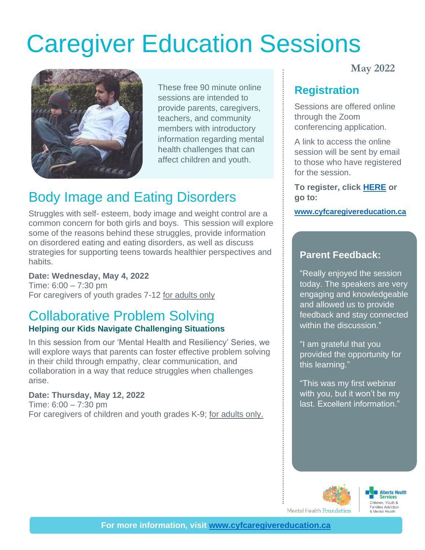# [Caregiver Education Sessions](https://www.surveymonkey.com/r/CaregiverSessionsONLINE20202021)



These free 90 minute online sessions are intended to provide parents, caregivers, teachers, and community members with introductory information regarding mental health challenges that can affect children and youth.

# Body Image and Eating Disorders

Struggles with self- esteem, body image and weight control are a common concern for both girls and boys. This session will explore some of the reasons behind these struggles, provide information on disordered eating and eating disorders, as well as discuss strategies for supporting teens towards healthier perspectives and habits.

### **Date: Wednesday, May 4, 2022**

Time: 6:00 – 7:30 pm For caregivers of youth grades 7-12 for adults only

## Collaborative Problem Solving **Helping our Kids Navigate Challenging Situations**

In this session from our 'Mental Health and Resiliency' Series, we will explore ways that parents can foster effective problem solving in their child through empathy, clear communication, and collaboration in a way that reduce struggles when challenges arise.

#### **Date: Thursday, May 12, 2022**

Time: 6:00 – 7:30 pm For caregivers of children and youth grades K-9; for adults only. **May 2022**

## **Registration**

Sessions are offered online through the Zoom conferencing application.

A link to access the online session will be sent by email to those who have registered for the session.

**To register, click [HERE](https://www.cyfcaregivereducation.ca/virtual-education) or go to:**

**[www.cyfcaregivereducation.ca](http://www.cyfcaregivereducation.ca/)**

## **Parent Feedback:**

"Really enjoyed the session today. The speakers are very engaging and knowledgeable and allowed us to provide feedback and stay connected within the discussion."

"I am grateful that you provided the opportunity for this learning."

"This was my first webinar with you, but it won't be my last. Excellent information."



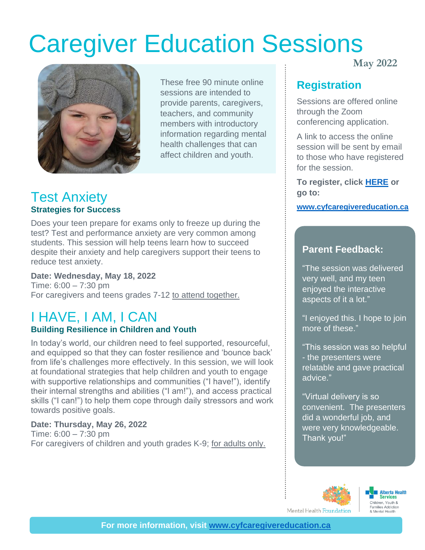# [Caregiver Education Sessions](https://www.surveymonkey.com/r/CaregiverSessionsONLINE20202021)



These free 90 minute online sessions are intended to provide parents, caregivers, teachers, and community members with introductory information regarding mental health challenges that can affect children and youth.

## Test Anxiety **Strategies for Success**

Does your teen prepare for exams only to freeze up during the test? Test and performance anxiety are very common among students. This session will help teens learn how to succeed despite their anxiety and help caregivers support their teens to reduce test anxiety.

## **Date: Wednesday, May 18, 2022**

Time: 6:00 – 7:30 pm For caregivers and teens grades 7-12 to attend together.

## I HAVE, I AM, I CAN **Building Resilience in Children and Youth**

In today's world, our children need to feel supported, resourceful, and equipped so that they can foster resilience and 'bounce back' from life's challenges more effectively. In this session, we will look at foundational strategies that help children and youth to engage with supportive relationships and communities ("I have!"), identify their internal strengths and abilities ("I am!"), and access practical skills ("I can!") to help them cope through daily stressors and work towards positive goals.

### **Date: Thursday, May 26, 2022**

Time: 6:00 – 7:30 pm For caregivers of children and youth grades K-9; for adults only. **May 2022**

## **Registration**

Sessions are offered online through the Zoom conferencing application.

A link to access the online session will be sent by email to those who have registered for the session.

**To register, click [HERE](https://www.cyfcaregivereducation.ca/virtual-education) or go to:**

**[www.cyfcaregivereducation.ca](http://www.cyfcaregivereducation.ca/)**

## **Parent Feedback:**

"The session was delivered very well, and my teen enjoyed the interactive aspects of it a lot."

"I enjoyed this. I hope to join more of these."

"This session was so helpful - the presenters were relatable and gave practical advice."

"Virtual delivery is so convenient. The presenters did a wonderful job, and were very knowledgeable. Thank you!"

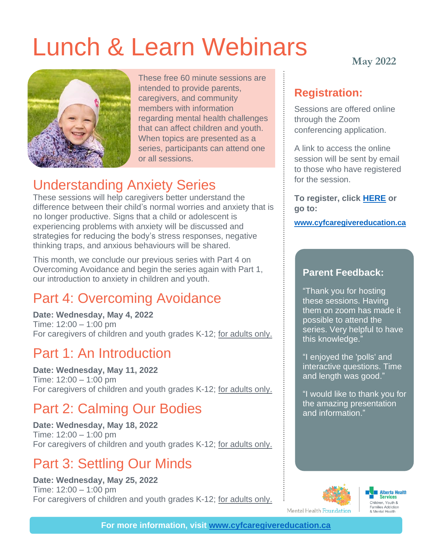# [Lunch & Learn Webinars](https://www.surveymonkey.com/r/LunchandLearnONLINE202020201)



These free 60 minute sessions are intended to provide parents, caregivers, and community members with information regarding mental health challenges that can affect children and youth. When topics are presented as a series, participants can attend one or all sessions.

# Understanding Anxiety Series

These sessions will help caregivers better understand the difference between their child's normal worries and anxiety that is no longer productive. Signs that a child or adolescent is experiencing problems with anxiety will be discussed and strategies for reducing the body's stress responses, negative thinking traps, and anxious behaviours will be shared.

This month, we conclude our previous series with Part 4 on Overcoming Avoidance and begin the series again with Part 1, our introduction to anxiety in children and youth.

# Part 4: Overcoming Avoidance

**Date: Wednesday, May 4, 2022** Time: 12:00 – 1:00 pm For caregivers of children and youth grades K-12; for adults only.

## Part 1: An Introduction

**Date: Wednesday, May 11, 2022** Time: 12:00 – 1:00 pm For caregivers of children and youth grades K-12; for adults only.

# Part 2: Calming Our Bodies

**Date: Wednesday, May 18, 2022** Time: 12:00 – 1:00 pm For caregivers of children and youth grades K-12; for adults only.

# Part 3: Settling Our Minds

**Date: Wednesday, May 25, 2022** Time: 12:00 – 1:00 pm For caregivers of children and youth grades K-12; for adults only. **May 2022**

## **Registration:**

Sessions are offered online through the Zoom conferencing application.

A link to access the online session will be sent by email to those who have registered for the session.

**To register, click [HERE](https://www.cyfcaregivereducation.ca/virtual-education) or go to:**

**[www.cyfcaregivereducation.ca](http://www.cyfcaregivereducation.ca/)**

### **Parent Feedback:**

"Thank you for hosting these sessions. Having them on zoom has made it possible to attend the series. Very helpful to have this knowledge."

"I enjoyed the 'polls' and interactive questions. Time and length was good."

"I would like to thank you for the amazing presentation and information."



Alberta Health<br>**Britishers** Children, Youth & **Families Addiction** 8. Mental Health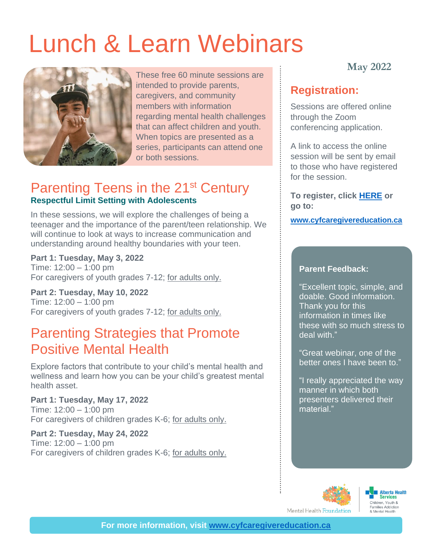# [Lunch & Learn Webinars](https://www.surveymonkey.com/r/LunchandLearnONLINE202020201)



These free 60 minute sessions are intended to provide parents, caregivers, and community members with information regarding mental health challenges that can affect children and youth. When topics are presented as a series, participants can attend one or both sessions.

## Parenting Teens in the 21<sup>st</sup> Century **Respectful Limit Setting with Adolescents**

In these sessions, we will explore the challenges of being a teenager and the importance of the parent/teen relationship. We will continue to look at ways to increase communication and understanding around healthy boundaries with your teen.

**Part 1: Tuesday, May 3, 2022** Time: 12:00 – 1:00 pm For caregivers of youth grades 7-12; for adults only.

**Part 2: Tuesday, May 10, 2022** Time: 12:00 – 1:00 pm For caregivers of youth grades 7-12; for adults only.

## Parenting Strategies that Promote Positive Mental Health

Explore factors that contribute to your child's mental health and wellness and learn how you can be your child's greatest mental health asset.

**Part 1: Tuesday, May 17, 2022** Time: 12:00 – 1:00 pm For caregivers of children grades K-6; for adults only.

**Part 2: Tuesday, May 24, 2022** Time: 12:00 – 1:00 pm For caregivers of children grades K-6; for adults only. **May 2022**

## **Registration:**

Sessions are offered online through the Zoom conferencing application.

A link to access the online session will be sent by email to those who have registered for the session.

**To register, click [HERE](https://www.cyfcaregivereducation.ca/virtual-education) or go to:**

**[www.cyfcaregivereducation.ca](http://www.cyfcaregivereducation.ca/)**

#### **Parent Feedback:**

"Excellent topic, simple, and doable. Good information. Thank you for this information in times like these with so much stress to deal with."

"Great webinar, one of the better ones I have been to."

"I really appreciated the way manner in which both presenters delivered their material."